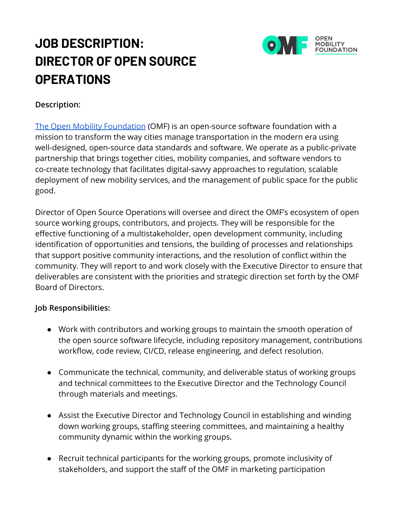# **JOB DESCRIPTION: DIRECTOR OF OPEN SOURCE OPERATIONS**



## **Description:**

[The Open Mobility Foundation](http://www.openmobilityfoundation.org/) (OMF) is an open-source software foundation with a mission to transform the way cities manage transportation in the modern era using well-designed, open-source data standards and software. We operate as a public-private partnership that brings together cities, mobility companies, and software vendors to co-create technology that facilitates digital-savvy approaches to regulation, scalable deployment of new mobility services, and the management of public space for the public good.

Director of Open Source Operations will oversee and direct the OMF's ecosystem of open source working groups, contributors, and projects. They will be responsible for the effective functioning of a multistakeholder, open development community, including identification of opportunities and tensions, the building of processes and relationships that support positive community interactions, and the resolution of conflict within the community. They will report to and work closely with the Executive Director to ensure that deliverables are consistent with the priorities and strategic direction set forth by the OMF Board of Directors.

## **Job Responsibilities:**

- Work with contributors and working groups to maintain the smooth operation of the open source software lifecycle, including repository management, contributions workflow, code review, CI/CD, release engineering, and defect resolution.
- Communicate the technical, community, and deliverable status of working groups and technical committees to the Executive Director and the Technology Council through materials and meetings.
- Assist the Executive Director and Technology Council in establishing and winding down working groups, staffing steering committees, and maintaining a healthy community dynamic within the working groups.
- Recruit technical participants for the working groups, promote inclusivity of stakeholders, and support the staff of the OMF in marketing participation